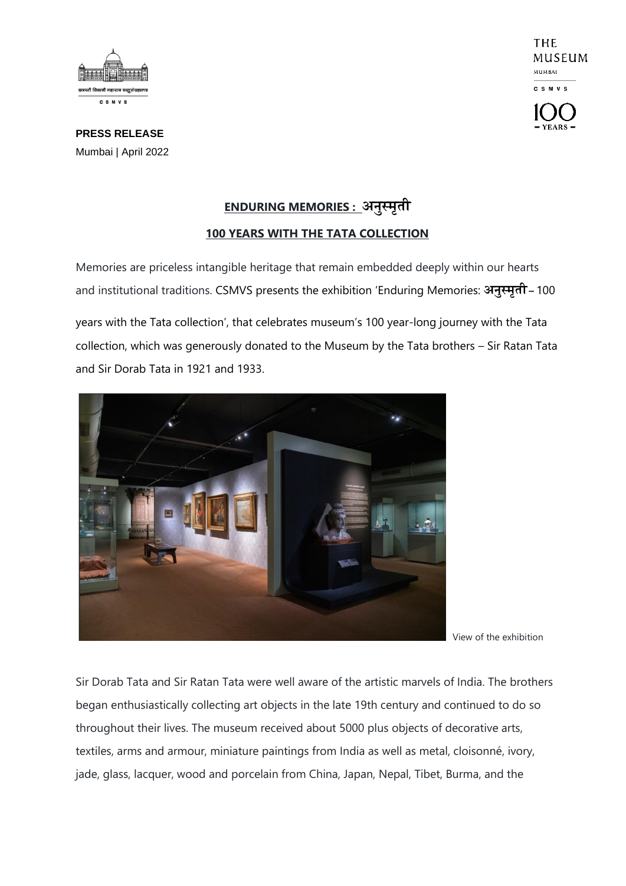

THE MUSEUM **MUMBAL CSMVS** 

**PRESS RELEASE** Mumbai | April 2022

## **ENDURING MEMORIES : अनुस्मृती 100 YEARS WITH THE TATA COLLECTION**

Memories are priceless intangible heritage that remain embedded deeply within our hearts and institutional traditions. CSMVS presents the exhibition 'Enduring Memories: **अनुस्मृती –** <sup>100</sup>

years with the Tata collection', that celebrates museum's 100 year-long journey with the Tata collection, which was generously donated to the Museum by the Tata brothers – Sir Ratan Tata and Sir Dorab Tata in 1921 and 1933.



View of the exhibition

Sir Dorab Tata and Sir Ratan Tata were well aware of the artistic marvels of India. The brothers began enthusiastically collecting art objects in the late 19th century and continued to do so throughout their lives. The museum received about 5000 plus objects of decorative arts, textiles, arms and armour, miniature paintings from India as well as metal, cloisonné, ivory, jade, glass, lacquer, wood and porcelain from China, Japan, Nepal, Tibet, Burma, and the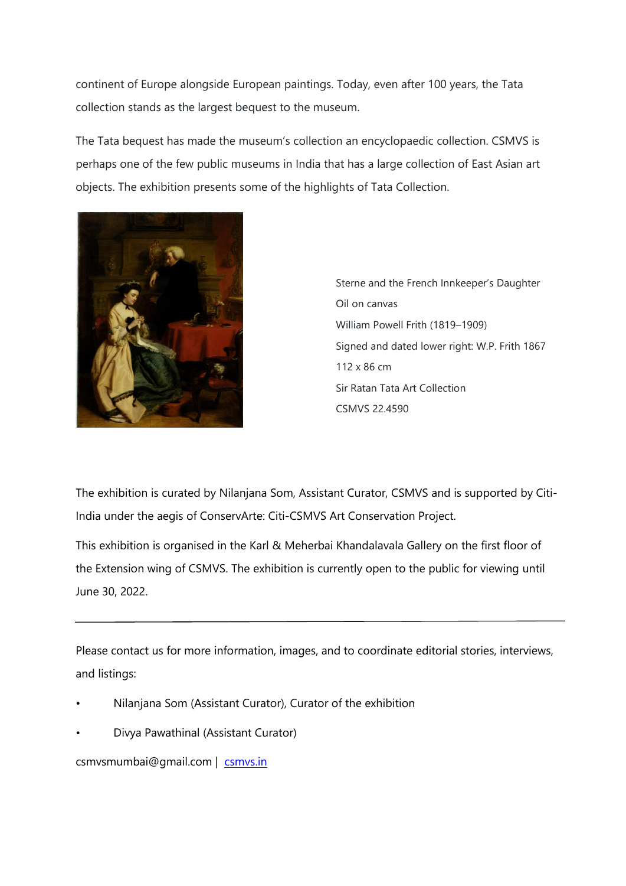continent of Europe alongside European paintings. Today, even after 100 years, the Tata collection stands as the largest bequest to the museum.

The Tata bequest has made the museum's collection an encyclopaedic collection. CSMVS is perhaps one of the few public museums in India that has a large collection of East Asian art objects. The exhibition presents some of the highlights of Tata Collection.



Sterne and the French Innkeeper's Daughter Oil on canvas William Powell Frith (1819–1909) Signed and dated lower right: W.P. Frith 1867 112 x 86 cm Sir Ratan Tata Art Collection CSMVS 22.4590

The exhibition is curated by Nilanjana Som, Assistant Curator, CSMVS and is supported by Citi-India under the aegis of ConservArte: Citi-CSMVS Art Conservation Project.

This exhibition is organised in the Karl & Meherbai Khandalavala Gallery on the first floor of the Extension wing of CSMVS. The exhibition is currently open to the public for viewing until June 30, 2022.

Please contact us for more information, images, and to coordinate editorial stories, interviews, and listings:

- Nilanjana Som (Assistant Curator), Curator of the exhibition
- Divya Pawathinal (Assistant Curator)

csmvsmumbai@gmail.com | [csmvs.in](http://www.csmvs.in/)